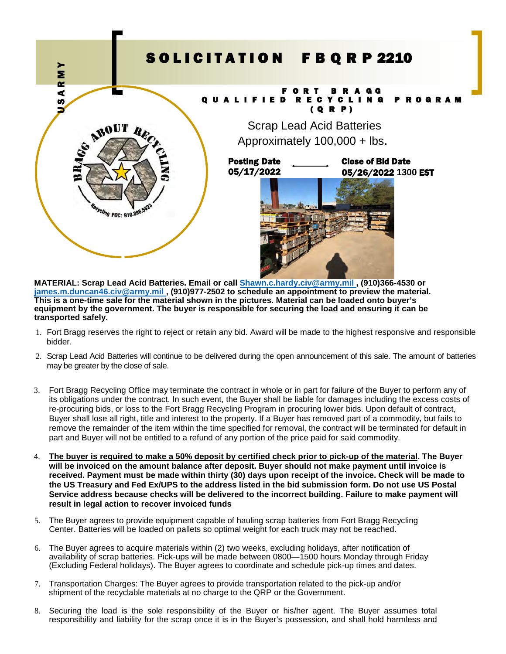## SOLICITATION FBQRP 2210 F O R T B R A G G Q U A L I F I E D R E C Y C L I N G P R O G R A M ( Q R P ) Scrap Lead Acid Batteries Approximately 100,000 + lbs. Close of Bid Date 05/26/2022 **1300** EST Posting Date 05/17/2022 **RESPONSE ASSAULT AND THE STATE OF THE STATE OF THE STATE OF THE STATE OF THE STATE OF THE STATE OF THE STATE OF THE STATE OF THE STATE OF THE STATE OF THE STATE OF THE STATE OF THE STATE OF THE STATE OF THE STATE OF THE**

**MATERIAL: Scrap Lead Acid Batteries. Email or call [Shawn.c.hardy.civ@army.mil ,](mailto:Shawn.c.hardy.civ@army.mil) (910)366-4530 or [james.m.duncan46.civ@army.mil ,](mailto:james.m.duncan46.civ@army.mil) (910)977-2502 to schedule an appointment to preview the material. This is a one-time sale for the material shown in the pictures. Material can be loaded onto buyer's equipment by the government. The buyer is responsible for securing the load and ensuring it can be transported safely.** 

- 1. Fort Bragg reserves the right to reject or retain any bid. Award will be made to the highest responsive and responsible bidder.
- 2. Scrap Lead Acid Batteries will continue to be delivered during the open announcement of this sale. The amount of batteries may be greater by the close of sale.
- 3. Fort Bragg Recycling Office may terminate the contract in whole or in part for failure of the Buyer to perform any of its obligations under the contract. In such event, the Buyer shall be liable for damages including the excess costs of re-procuring bids, or loss to the Fort Bragg Recycling Program in procuring lower bids. Upon default of contract, Buyer shall lose all right, title and interest to the property. If a Buyer has removed part of a commodity, but fails to remove the remainder of the item within the time specified for removal, the contract will be terminated for default in part and Buyer will not be entitled to a refund of any portion of the price paid for said commodity.
- 4. **The buyer is required to make a 50% deposit by certified check prior to pick-up of the material. The Buyer will be invoiced on the amount balance after deposit. Buyer should not make payment until invoice is received. Payment must be made within thirty (30) days upon receipt of the invoice. Check will be made to the US Treasury and Fed Ex/UPS to the address listed in the bid submission form. Do not use US Postal Service address because checks will be delivered to the incorrect building. Failure to make payment will result in legal action to recover invoiced funds**
- 5. The Buyer agrees to provide equipment capable of hauling scrap batteries from Fort Bragg Recycling Center. Batteries will be loaded on pallets so optimal weight for each truck may not be reached.
- 6. The Buyer agrees to acquire materials within (2) two weeks, excluding holidays, after notification of availability of scrap batteries. Pick-ups will be made between 0800—1500 hours Monday through Friday (Excluding Federal holidays). The Buyer agrees to coordinate and schedule pick-up times and dates.
- 7. Transportation Charges: The Buyer agrees to provide transportation related to the pick-up and/or shipment of the recyclable materials at no charge to the QRP or the Government.
- 8. Securing the load is the sole responsibility of the Buyer or his/her agent. The Buyer assumes total responsibility and liability for the scrap once it is in the Buyer's possession, and shall hold harmless and